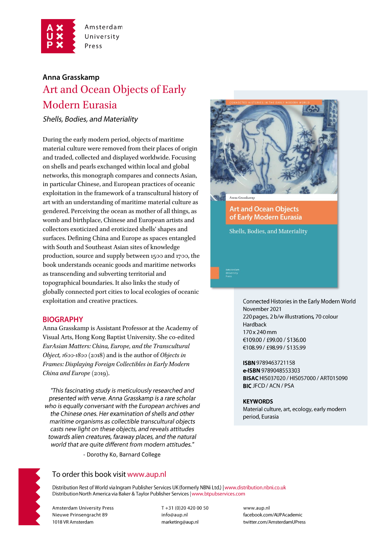

Amsterdam University Press

# Anna Grasskamp Art and Ocean Objects of Early Modern Eurasia

Shells, Bodies, and Materiality

During the early modern period, objects of maritime material culture were removed from their places of origin and traded, collected and displayed worldwide. Focusing on shells and pearls exchanged within local and global networks, this monograph compares and connects Asian, in particular Chinese, and European practices of oceanic exploitation in the framework of a transcultural history of art with an understanding of maritime material culture as gendered. Perceiving the ocean as mother of all things, as womb and birthplace, Chinese and European artists and collectors exoticized and eroticized shells' shapes and surfaces. Defining China and Europe as spaces entangled with South and Southeast Asian sites of knowledge production, source and supply between 1500 and 1700, the book understands oceanic goods and maritime networks as transcending and subverting territorial and topographical boundaries. It also links the study of globally connected port cities to local ecologies of oceanic exploitation and creative practices.

## **BIOGRAPHY**

Anna Grasskamp is Assistant Professor at the Academy of Visual Arts, Hong Kong Baptist University. She co-edited EurAsian Matters: China, Europe, and the Transcultural Object, 1600-1800 (2018) and is the author of Objects in Frames: Displaying Foreign Collectibles in Early Modern China and Europe (2019).

"This fascinating study is meticulously researched and presented with verve. Anna Grasskamp is a rare scholar who is equally conversant with the European archives and the Chinese ones. Her examination of shells and other maritime organisms as collectible transcultural objects casts new light on these objects, and reveals attitudes towards alien creatures, faraway places, and the natural world that are quite different from modern attitudes."

- Dorothy Ko, Barnard College



**Art and Ocean Objects** of Early Modern Eurasia

Shells, Bodies, and Materiality

Connected Histories in the Early Modern World November 2021 220 pages, 2 b/w illustrations, 70 colour Hardback 170 x 240 mm €109.00 / £99.00 / \$136.00 €108.99 / £98.99 / \$135.99

ISBN 9789463721158 e-ISBN 9789048553303 BISAC HIS037020 / HIS057000 / ART015090 **BIC JFCD / ACN / PSA** 

#### **KEYWORDS**

Material culture, art, ecology, early modern period, Eurasia



To order this book visit www.aup.nl

Distribution Rest of World via Ingram Publisher Services UK (formerly NBNi Ltd.) | www.distribution.nbni.co.uk Distribution North America via Baker & Taylor Publisher Services | www.btpubservices.com

**Amsterdam University Press** Nieuwe Prinsengracht 89 1018 VR Amsterdam

T+31 (0)20 420 00 50 info@aup.nl marketing@aup.nl

www.aup.nl facebook.com/AUPAcademic twitter.com/AmsterdamUPress